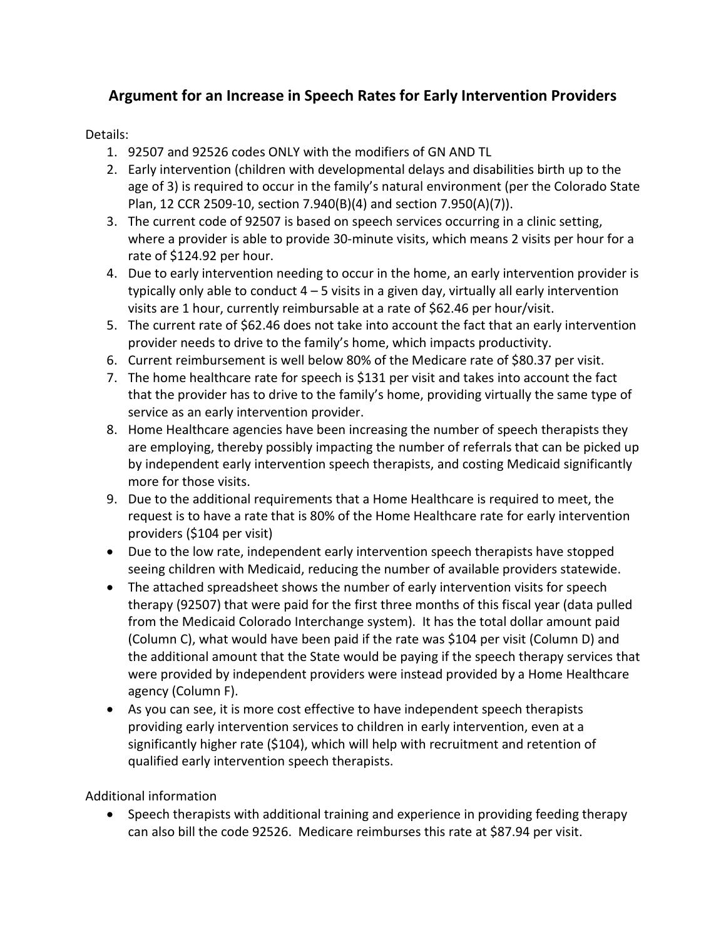## **Argument for an Increase in Speech Rates for Early Intervention Providers**

Details:

- 1. 92507 and 92526 codes ONLY with the modifiers of GN AND TL
- 2. Early intervention (children with developmental delays and disabilities birth up to the age of 3) is required to occur in the family's natural environment (per the Colorado State Plan, 12 CCR 2509-10, section 7.940(B)(4) and section 7.950(A)(7)).
- 3. The current code of 92507 is based on speech services occurring in a clinic setting, where a provider is able to provide 30-minute visits, which means 2 visits per hour for a rate of \$124.92 per hour.
- 4. Due to early intervention needing to occur in the home, an early intervention provider is typically only able to conduct  $4 - 5$  visits in a given day, virtually all early intervention visits are 1 hour, currently reimbursable at a rate of \$62.46 per hour/visit.
- 5. The current rate of \$62.46 does not take into account the fact that an early intervention provider needs to drive to the family's home, which impacts productivity.
- 6. Current reimbursement is well below 80% of the Medicare rate of \$80.37 per visit.
- 7. The home healthcare rate for speech is \$131 per visit and takes into account the fact that the provider has to drive to the family's home, providing virtually the same type of service as an early intervention provider.
- 8. Home Healthcare agencies have been increasing the number of speech therapists they are employing, thereby possibly impacting the number of referrals that can be picked up by independent early intervention speech therapists, and costing Medicaid significantly more for those visits.
- 9. Due to the additional requirements that a Home Healthcare is required to meet, the request is to have a rate that is 80% of the Home Healthcare rate for early intervention providers (\$104 per visit)
- Due to the low rate, independent early intervention speech therapists have stopped seeing children with Medicaid, reducing the number of available providers statewide.
- The attached spreadsheet shows the number of early intervention visits for speech therapy (92507) that were paid for the first three months of this fiscal year (data pulled from the Medicaid Colorado Interchange system). It has the total dollar amount paid (Column C), what would have been paid if the rate was \$104 per visit (Column D) and the additional amount that the State would be paying if the speech therapy services that were provided by independent providers were instead provided by a Home Healthcare agency (Column F).
- As you can see, it is more cost effective to have independent speech therapists providing early intervention services to children in early intervention, even at a significantly higher rate (\$104), which will help with recruitment and retention of qualified early intervention speech therapists.

Additional information

• Speech therapists with additional training and experience in providing feeding therapy can also bill the code 92526. Medicare reimburses this rate at \$87.94 per visit.